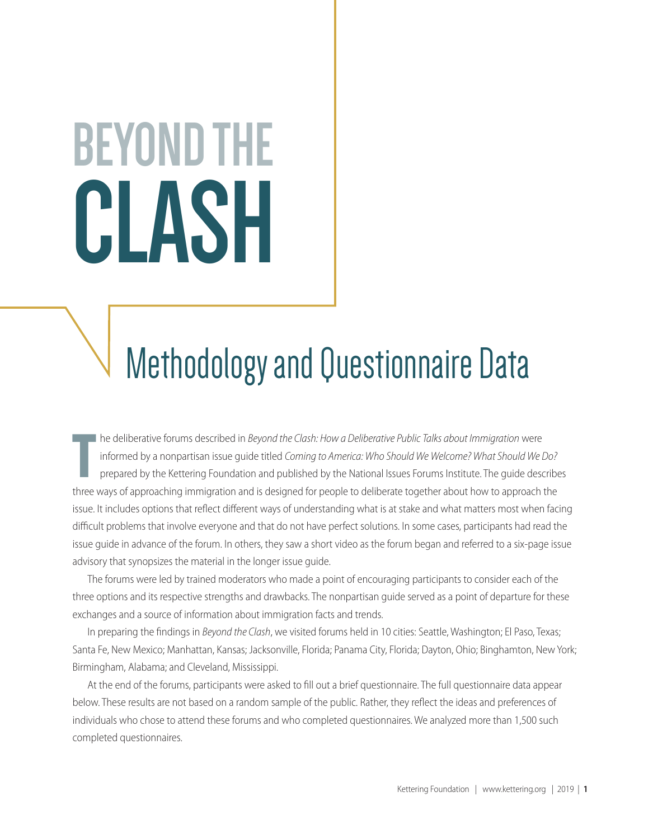# **BEYOND THE CLASH**

# Methodology and Questionnaire Data

THE three deliberative forums described in *Beyond the Clash: How a Deliberative Public Talks about Immigration* were<br>
informed by a nonpartisan issue guide titled *Coming to America: Who Should We Welcome? What Should We* he deliberative forums described in *Beyond the Clash: How a Deliberative Public Talks about Immigration* were informed by a nonpartisan issue guide titled *Coming to America: Who Should We Welcome? What Should We Do?* prepared by the Kettering Foundation and published by the National Issues Forums Institute. The guide describes issue. It includes options that reflect different ways of understanding what is at stake and what matters most when facing difficult problems that involve everyone and that do not have perfect solutions. In some cases, participants had read the issue guide in advance of the forum. In others, they saw a short video as the forum began and referred to a six-page issue advisory that synopsizes the material in the longer issue guide.

The forums were led by trained moderators who made a point of encouraging participants to consider each of the three options and its respective strengths and drawbacks. The nonpartisan guide served as a point of departure for these exchanges and a source of information about immigration facts and trends.

In preparing the findings in *Beyond the Clash*, we visited forums held in 10 cities: Seattle, Washington; El Paso, Texas; Santa Fe, New Mexico; Manhattan, Kansas; Jacksonville, Florida; Panama City, Florida; Dayton, Ohio; Binghamton, New York; Birmingham, Alabama; and Cleveland, Mississippi.

At the end of the forums, participants were asked to fill out a brief questionnaire. The full questionnaire data appear below. These results are not based on a random sample of the public. Rather, they reflect the ideas and preferences of individuals who chose to attend these forums and who completed questionnaires. We analyzed more than 1,500 such completed questionnaires.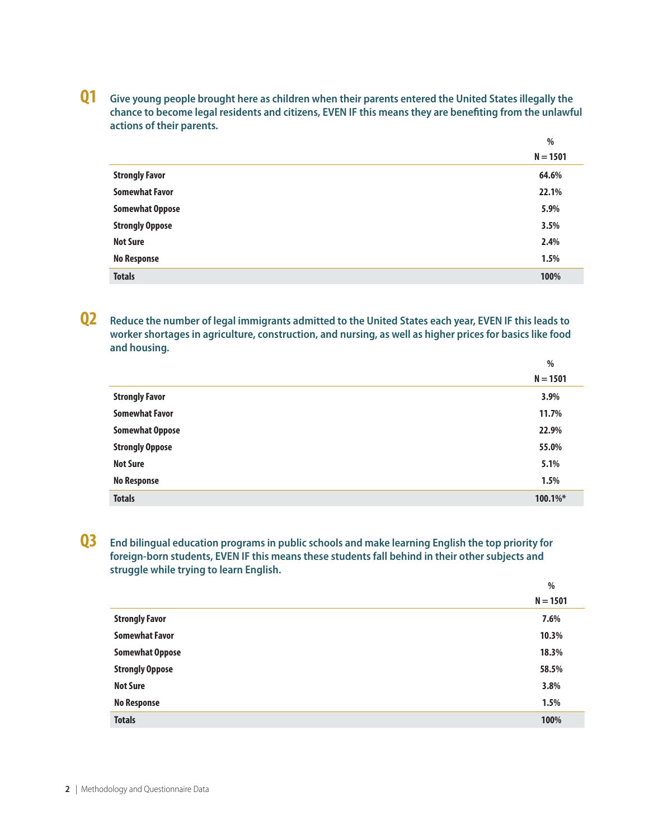**Q1 Give young people brought here as children when their parents entered the United States illegally the chance to become legal residents and citizens, EVEN IF this means they are benefiting from the unlawful actions of their parents.**

|                        | %          |
|------------------------|------------|
|                        | $N = 1501$ |
| <b>Strongly Favor</b>  | 64.6%      |
| <b>Somewhat Favor</b>  | 22.1%      |
| <b>Somewhat Oppose</b> | 5.9%       |
| <b>Strongly Oppose</b> | 3.5%       |
| <b>Not Sure</b>        | 2.4%       |
| <b>No Response</b>     | 1.5%       |
| <b>Totals</b>          | 100%       |

**Q2 Reduce the number of legal immigrants admitted to the United States each year, EVEN IF this leads to worker shortages in agriculture, construction, and nursing, as well as higher prices for basics like food and housing.**

|                        | $\%$        |
|------------------------|-------------|
|                        | $N = 1501$  |
| <b>Strongly Favor</b>  | 3.9%        |
| <b>Somewhat Favor</b>  | 11.7%       |
| <b>Somewhat Oppose</b> | 22.9%       |
| <b>Strongly Oppose</b> | 55.0%       |
| <b>Not Sure</b>        | 5.1%        |
| <b>No Response</b>     | 1.5%        |
| <b>Totals</b>          | $100.1\%$ * |

#### **Q3 End bilingual education programs in public schools and make learning English the top priority for foreign-born students, EVEN IF this means these students fall behind in their other subjects and struggle while trying to learn English.**

|                        | $\overline{\phantom{a}}$ |
|------------------------|--------------------------|
|                        | $N = 1501$               |
| <b>Strongly Favor</b>  | 7.6%                     |
| <b>Somewhat Favor</b>  | 10.3%                    |
| <b>Somewhat Oppose</b> | 18.3%                    |
| <b>Strongly Oppose</b> | 58.5%                    |
| <b>Not Sure</b>        | 3.8%                     |
| <b>No Response</b>     | 1.5%                     |
| <b>Totals</b>          | 100%                     |
|                        |                          |

**%**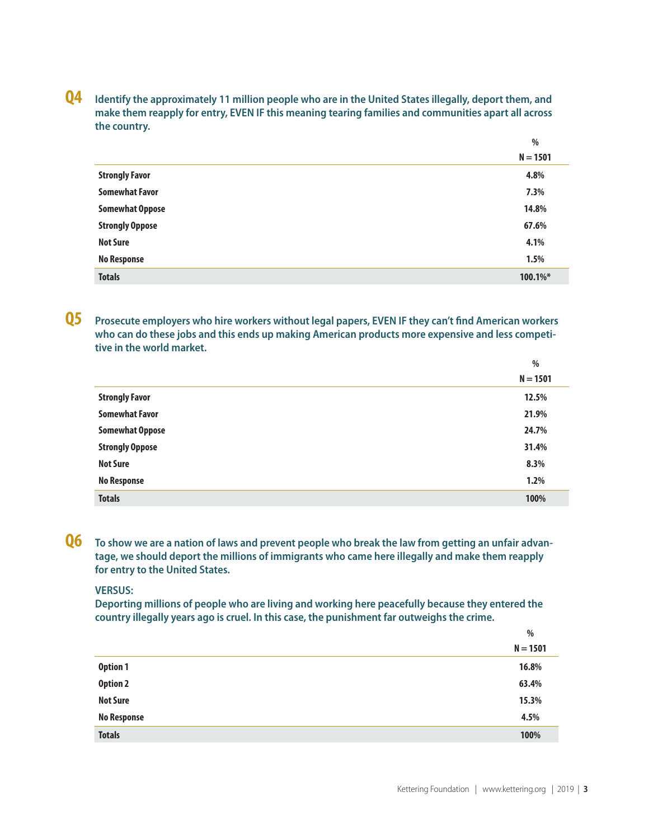**Q4 Identify the approximately 11 million people who are in the United States illegally, deport them, and make them reapply for entry, EVEN IF this meaning tearing families and communities apart all across the country.**

|                        | %           |
|------------------------|-------------|
|                        | $N = 1501$  |
| <b>Strongly Favor</b>  | 4.8%        |
| <b>Somewhat Favor</b>  | 7.3%        |
| <b>Somewhat Oppose</b> | 14.8%       |
| <b>Strongly Oppose</b> | 67.6%       |
| <b>Not Sure</b>        | 4.1%        |
| <b>No Response</b>     | 1.5%        |
| <b>Totals</b>          | $100.1\%$ * |

**Q5 Prosecute employers who hire workers without legal papers, EVEN IF they can't find American workers who can do these jobs and this ends up making American products more expensive and less competitive in the world market.**

|                        | %          |
|------------------------|------------|
|                        | $N = 1501$ |
| <b>Strongly Favor</b>  | 12.5%      |
| <b>Somewhat Favor</b>  | 21.9%      |
| <b>Somewhat Oppose</b> | 24.7%      |
| <b>Strongly Oppose</b> | 31.4%      |
| <b>Not Sure</b>        | 8.3%       |
| <b>No Response</b>     | 1.2%       |
| <b>Totals</b>          | 100%       |

**Q6 To show we are a nation of laws and prevent people who break the law from getting an unfair advantage, we should deport the millions of immigrants who came here illegally and make them reapply for entry to the United States.**

#### **VERSUS:**

**Deporting millions of people who are living and working here peacefully because they entered the country illegally years ago is cruel. In this case, the punishment far outweighs the crime.**

|                    | %          |
|--------------------|------------|
|                    | $N = 1501$ |
| <b>Option 1</b>    | 16.8%      |
| <b>Option 2</b>    | 63.4%      |
| <b>Not Sure</b>    | 15.3%      |
| <b>No Response</b> | 4.5%       |
| <b>Totals</b>      | 100%       |
|                    |            |

**%**

**%**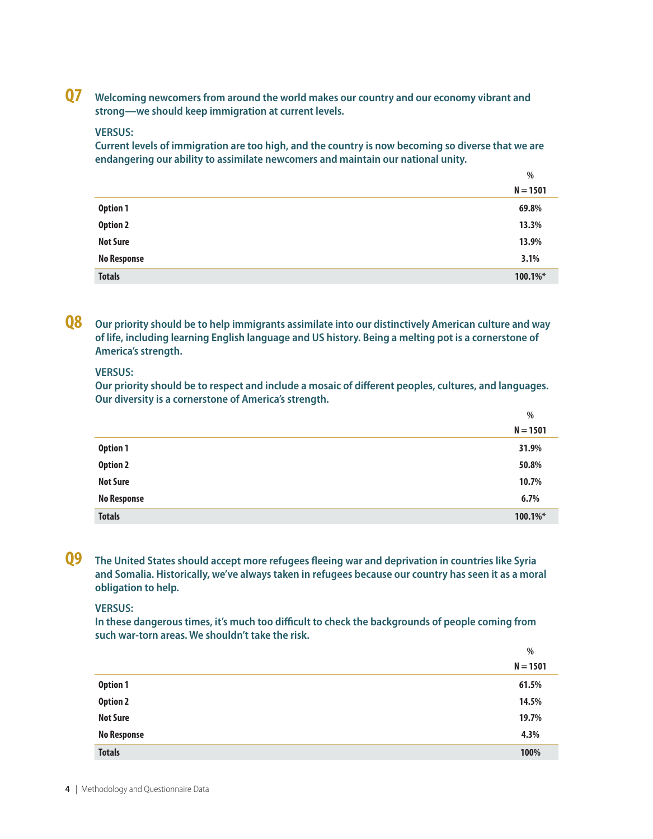**Q7 Welcoming newcomers from around the world makes our country and our economy vibrant and strong—we should keep immigration at current levels.**

#### **VERSUS:**

**Current levels of immigration are too high, and the country is now becoming so diverse that we are endangering our ability to assimilate newcomers and maintain our national unity.**

|                    | $\frac{0}{0}$ |
|--------------------|---------------|
|                    | $N = 1501$    |
| <b>Option 1</b>    | 69.8%         |
| <b>Option 2</b>    | 13.3%         |
| <b>Not Sure</b>    | 13.9%         |
| <b>No Response</b> | 3.1%          |
| <b>Totals</b>      | 100.1%*       |

**Q8 Our priority should be to help immigrants assimilate into our distinctively American culture and way of life, including learning English language and US history. Being a melting pot is a cornerstone of America's strength.**

#### **VERSUS:**

**Our priority should be to respect and include a mosaic of different peoples, cultures, and languages. Our diversity is a cornerstone of America's strength.**

**%**

|                    | -70        |
|--------------------|------------|
|                    | $N = 1501$ |
| Option 1           | 31.9%      |
| <b>Option 2</b>    | 50.8%      |
| <b>Not Sure</b>    | 10.7%      |
| <b>No Response</b> | 6.7%       |
| <b>Totals</b>      | 100.1%*    |

**Q9 The United States should accept more refugees fleeing war and deprivation in countries like Syria and Somalia. Historically, we've always taken in refugees because our country has seen it as a moral obligation to help.**

#### **VERSUS:**

**In these dangerous times, it's much too difficult to check the backgrounds of people coming from such war-torn areas. We shouldn't take the risk.**

|                    | %          |
|--------------------|------------|
|                    | $N = 1501$ |
| <b>Option 1</b>    | 61.5%      |
| <b>Option 2</b>    | 14.5%      |
| <b>Not Sure</b>    | 19.7%      |
| <b>No Response</b> | 4.3%       |
| <b>Totals</b>      | 100%       |

**4** | Methodology and Questionnaire Data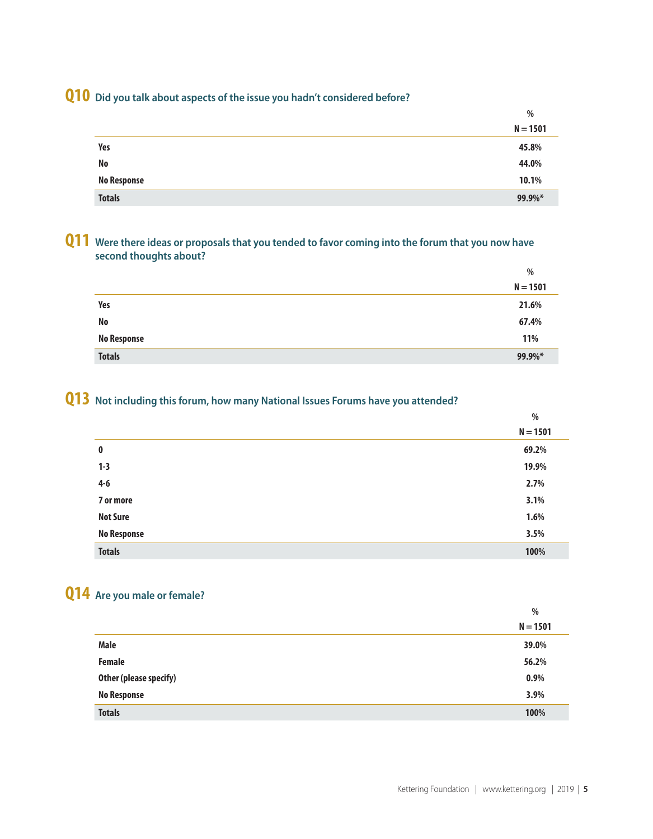# **Q10 Did you talk about aspects of the issue you hadn't considered before?**

|                    | $\%$       |
|--------------------|------------|
|                    | $N = 1501$ |
| Yes                | 45.8%      |
| No                 | 44.0%      |
| <b>No Response</b> | 10.1%      |
| <b>Totals</b>      | 99.9%*     |

#### **Q11 Were there ideas or proposals that you tended to favor coming into the forum that you now have second thoughts about?**

|                    | %          |
|--------------------|------------|
|                    | $N = 1501$ |
| Yes                | 21.6%      |
| No                 | 67.4%      |
| <b>No Response</b> | 11%        |
| <b>Totals</b>      | 99.9%*     |

### **Q13 Not including this forum, how many National Issues Forums have you attended?**

|                    | $\%$       |
|--------------------|------------|
|                    | $N = 1501$ |
| $\bf{0}$           | 69.2%      |
| $1 - 3$            | 19.9%      |
| $4-6$              | 2.7%       |
| 7 or more          | 3.1%       |
| <b>Not Sure</b>    | 1.6%       |
| <b>No Response</b> | 3.5%       |
| <b>Totals</b>      | 100%       |

## **Q14 Are you male or female?**

|                        | %          |
|------------------------|------------|
|                        | $N = 1501$ |
| <b>Male</b>            | 39.0%      |
| <b>Female</b>          | 56.2%      |
| Other (please specify) | 0.9%       |
| <b>No Response</b>     | 3.9%       |
| <b>Totals</b>          | 100%       |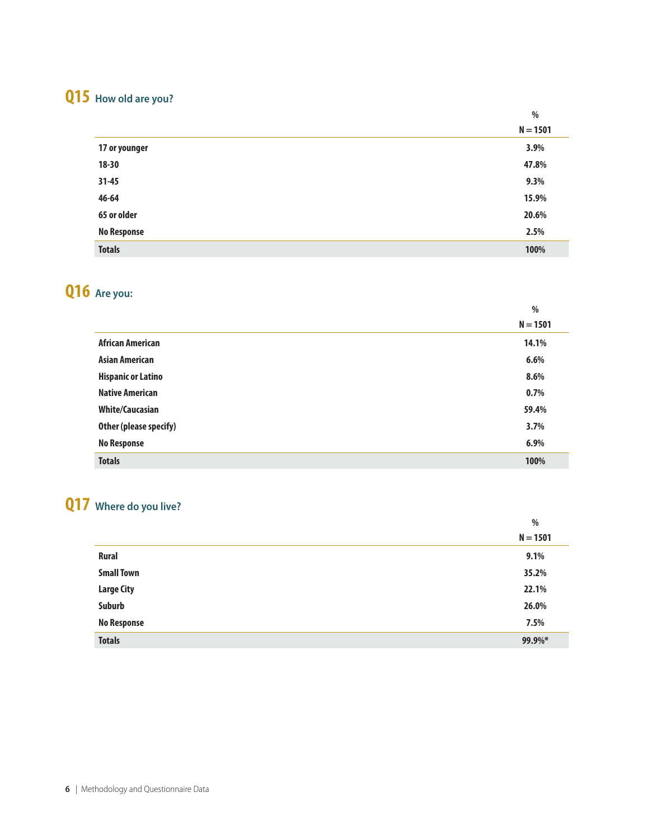# **Q15 How old are you?**

|                    | %          |  |
|--------------------|------------|--|
|                    | $N = 1501$ |  |
| 17 or younger      | 3.9%       |  |
| $18 - 30$          | 47.8%      |  |
| $31 - 45$          | 9.3%       |  |
| 46-64              | 15.9%      |  |
| 65 or older        | 20.6%      |  |
| <b>No Response</b> | 2.5%       |  |
| <b>Totals</b>      | 100%       |  |

**%**

# **Q16 Are you:**

|                           | %          |
|---------------------------|------------|
|                           | $N = 1501$ |
| <b>African American</b>   | 14.1%      |
| <b>Asian American</b>     | 6.6%       |
| <b>Hispanic or Latino</b> | 8.6%       |
| <b>Native American</b>    | 0.7%       |
| <b>White/Caucasian</b>    | 59.4%      |
| Other (please specify)    | 3.7%       |
| <b>No Response</b>        | 6.9%       |
| <b>Totals</b>             | 100%       |

# **Q17 Where do you live?**

|                    | %          |
|--------------------|------------|
|                    | $N = 1501$ |
| <b>Rural</b>       | 9.1%       |
| <b>Small Town</b>  | 35.2%      |
| <b>Large City</b>  | 22.1%      |
| Suburb             | 26.0%      |
| <b>No Response</b> | 7.5%       |
| <b>Totals</b>      | 99.9%*     |